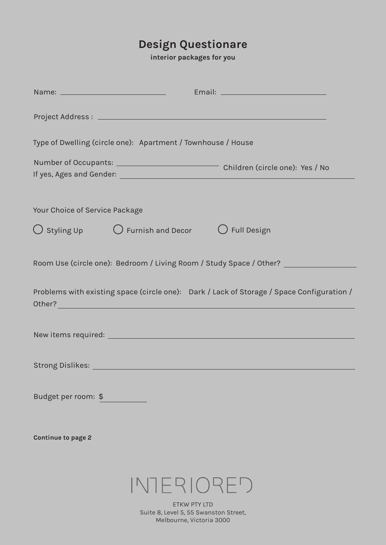## **Design Questionare**

**interior packages for you**

|                                | Type of Dwelling (circle one): Apartment / Townhouse / House              |                                                                                           |
|--------------------------------|---------------------------------------------------------------------------|-------------------------------------------------------------------------------------------|
|                                |                                                                           |                                                                                           |
| Your Choice of Service Package |                                                                           |                                                                                           |
|                                | $\bigcirc$ Styling Up $\bigcirc$ Furnish and Decor $\bigcirc$ Full Design |                                                                                           |
|                                |                                                                           | Room Use (circle one): Bedroom / Living Room / Study Space / Other? ____________          |
|                                |                                                                           | Problems with existing space (circle one): Dark / Lack of Storage / Space Configuration / |
|                                |                                                                           |                                                                                           |
|                                |                                                                           |                                                                                           |
| Budget per room: \$            |                                                                           |                                                                                           |
| <b>Continue to page 2</b>      |                                                                           |                                                                                           |
|                                | INTERIORED                                                                |                                                                                           |
|                                | ETKW PTY LTD<br>Suite 8, Level 5, 55 Swanston Street,                     |                                                                                           |

Melbourne, Victoria 3000